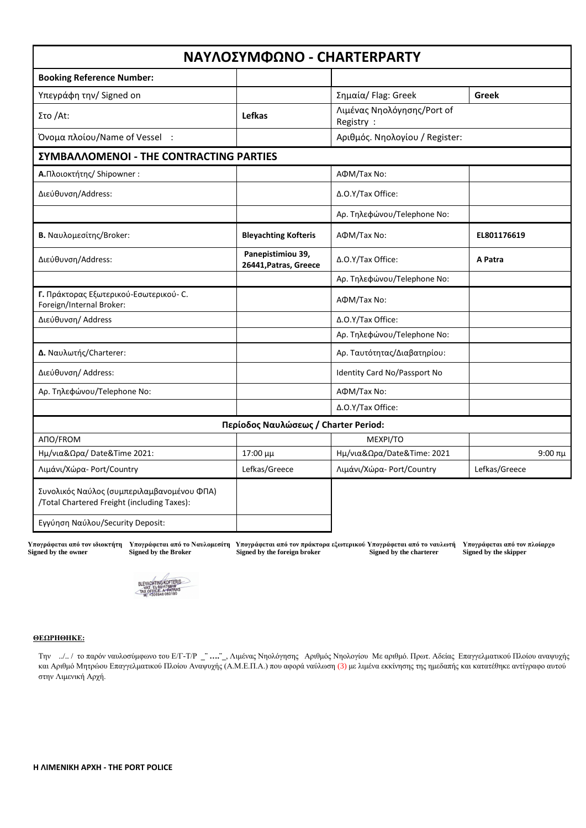| ΝΑΥΛΟΣΥΜΦΩΝΟ - CHARTERPARTY                                                               |                                            |                                         |               |
|-------------------------------------------------------------------------------------------|--------------------------------------------|-----------------------------------------|---------------|
| <b>Booking Reference Number:</b>                                                          |                                            |                                         |               |
| Υπεγράφη την/ Signed on                                                                   |                                            | Σημαία/ Flag: Greek                     | <b>Greek</b>  |
| Στο /At:                                                                                  | Lefkas                                     | Λιμένας Νηολόγησης/Port of<br>Registry: |               |
| Όνομα πλοίου/Name of Vessel :                                                             |                                            | Αριθμός. Νηολογίου / Register:          |               |
| <b><i>EYMBAAAOMENOI - THE CONTRACTING PARTIES</i></b>                                     |                                            |                                         |               |
| Α.Πλοιοκτήτης/ Shipowner :                                                                |                                            | АФМ/Тах No:                             |               |
| Διεύθυνση/Address:                                                                        |                                            | Δ.Ο.Υ/Tax Office:                       |               |
|                                                                                           |                                            | Αρ. Τηλεφώνου/Telephone No:             |               |
| Β. Ναυλομεσίτης/Broker:                                                                   | <b>Bleyachting Kofteris</b>                | AФM/Tax No:                             | EL801176619   |
| Διεύθυνση/Address:                                                                        | Panepistimiou 39,<br>26441, Patras, Greece | Δ.Ο.Υ/Tax Office:                       | A Patra       |
|                                                                                           |                                            | Αρ. Τηλεφώνου/Telephone No:             |               |
| Γ. Πράκτορας Εξωτερικού-Εσωτερικού- C.<br>Foreign/Internal Broker:                        |                                            | AФM/Tax No:                             |               |
| Διεύθυνση/ Address                                                                        |                                            | Δ.Ο.Υ/Tax Office:                       |               |
|                                                                                           |                                            | Αρ. Τηλεφώνου/Telephone No:             |               |
| Δ. Ναυλωτής/Charterer:                                                                    |                                            | Αρ. Ταυτότητας/Διαβατηρίου:             |               |
| Διεύθυνση/ Address:                                                                       |                                            | Identity Card No/Passport No            |               |
| Αρ. Τηλεφώνου/Telephone No:                                                               |                                            | AФM/Tax No:                             |               |
|                                                                                           |                                            | Δ.Ο.Υ/Tax Office:                       |               |
|                                                                                           | Περίοδος Ναυλώσεως / Charter Period:       |                                         |               |
| ANO/FROM                                                                                  |                                            | MEXPI/TO                                |               |
| Ημ/νια&Ωρα/Date&Time 2021:                                                                | 17:00 μμ                                   | Ημ/νια&Ωρα/Date&Time: 2021              | 9:00πμ        |
| Λιμάνι/Χώρα-Port/Country                                                                  | Lefkas/Greece                              | Λιμάνι/Χώρα-Port/Country                | Lefkas/Greece |
| Συνολικός Ναύλος (συμπεριλαμβανομένου ΦΠΑ)<br>/Total Chartered Freight (including Taxes): |                                            |                                         |               |
| Εγγύηση Ναύλου/Security Deposit:                                                          |                                            |                                         |               |

Υπογράφεται από τον ιδιοκτήτη Υπογράφεται από το Ναυλομεσίτη Υπογράφεται από τον πράκτορα εξωτερικού Υπογράφεται από τον πλοίαρχο **Signed by the owner Signed by the Broker Signed by the foreign broker Signed by the charterer Signed by the skipper**



### **ΘΕΩΡΗΘΗΚΕ:**

Την ../.. / το παρόν ναυλοσύμφωνο του Ε/Γ-Τ/Ρ **\_¨ ….¨\_**, Λιμένας Νηολόγησης Αριθμός ΝηολογίουΜε αριθμό. Πρωτ. Αδείας Επαγγελματικού Πλοίου αναψυχής και Αριθμό Μητρώου Επαγγελματικού Πλοίου Αναψυχής (Α.Μ.Ε.Π.Α.) που αφορά ναύλωση (3) με λιμένα εκκίνησης της ημεδαπής και κατατέθηκε αντίγραφο αυτού στην Λιμενική Αρχή.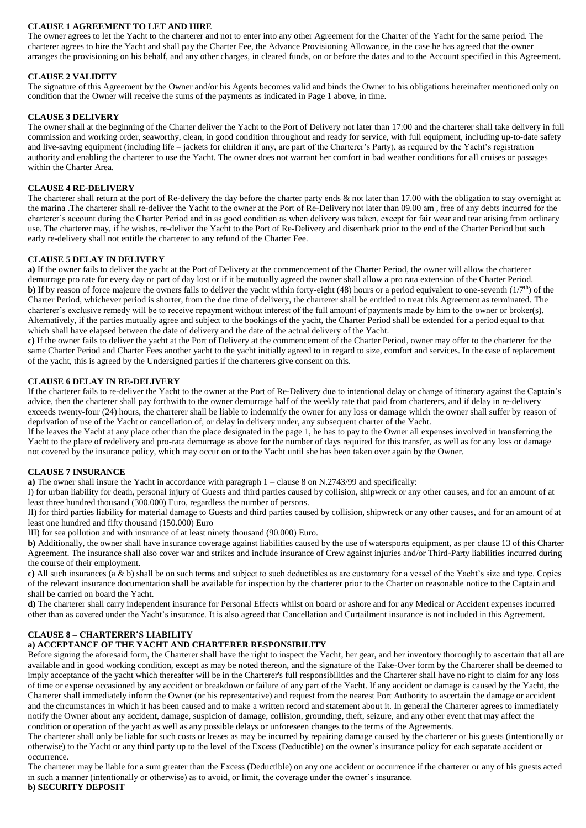# **CLAUSE 1 AGREEMENT TO LET AND HIRE**

The owner agrees to let the Yacht to the charterer and not to enter into any other Agreement for the Charter of the Yacht for the same period. The charterer agrees to hire the Yacht and shall pay the Charter Fee, the Advance Provisioning Allowance, in the case he has agreed that the owner arranges the provisioning on his behalf, and any other charges, in cleared funds, on or before the dates and to the Account specified in this Agreement.

# **CLAUSE 2 VALIDITY**

The signature of this Agreement by the Owner and/or his Agents becomes valid and binds the Owner to his obligations hereinafter mentioned only on condition that the Owner will receive the sums of the payments as indicated in Page 1 above, in time.

### **CLAUSE 3 DELIVERY**

The owner shall at the beginning of the Charter deliver the Yacht to the Port of Delivery not later than 17:00 and the charterer shall take delivery in full commission and working order, seaworthy, clean, in good condition throughout and ready for service, with full equipment, including up-to-date safety and live-saving equipment (including life – jackets for children if any, are part of the Charterer's Party), as required by the Yacht's registration authority and enabling the charterer to use the Yacht. The owner does not warrant her comfort in bad weather conditions for all cruises or passages within the Charter Area.

# **CLAUSE 4 RE-DELIVERY**

The charterer shall return at the port of Re-delivery the day before the charter party ends & not later than 17.00 with the obligation to stay overnight at the marina .The charterer shall re-deliver the Yacht to the owner at the Port of Re-Delivery not later than 09.00 am , free of any debts incurred for the charterer's account during the Charter Period and in as good condition as when delivery was taken, except for fair wear and tear arising from ordinary use. The charterer may, if he wishes, re-deliver the Yacht to the Port of Re-Delivery and disembark prior to the end of the Charter Period but such early re-delivery shall not entitle the charterer to any refund of the Charter Fee.

### **CLAUSE 5 DELAY IN DELIVERY**

**a)** If the owner fails to deliver the yacht at the Port of Delivery at the commencement of the Charter Period, the owner will allow the charterer demurrage pro rate for every day or part of day lost or if it be mutually agreed the owner shall allow a pro rata extension of the Charter Period. **b**) If by reason of force majeure the owners fails to deliver the yacht within forty-eight (48) hours or a period equivalent to one-seventh  $(1/7<sup>th</sup>)$  of the Charter Period, whichever period is shorter, from the due time of delivery, the charterer shall be entitled to treat this Agreement as terminated. The charterer's exclusive remedy will be to receive repayment without interest of the full amount of payments made by him to the owner or broker(s). Alternatively, if the parties mutually agree and subject to the bookings of the yacht, the Charter Period shall be extended for a period equal to that which shall have elapsed between the date of delivery and the date of the actual delivery of the Yacht.

**c)** If the owner fails to deliver the yacht at the Port of Delivery at the commencement of the Charter Period, owner may offer to the charterer for the same Charter Period and Charter Fees another yacht to the yacht initially agreed to in regard to size, comfort and services. In the case of replacement of the yacht, this is agreed by the Undersigned parties if the charterers give consent on this.

# **CLAUSE 6 DELAY IN RE-DELIVERY**

If the charterer fails to re-deliver the Yacht to the owner at the Port of Re-Delivery due to intentional delay or change of itinerary against the Captain's advice, then the charterer shall pay forthwith to the owner demurrage half of the weekly rate that paid from charterers, and if delay in re-delivery exceeds twenty-four (24) hours, the charterer shall be liable to indemnify the owner for any loss or damage which the owner shall suffer by reason of deprivation of use of the Yacht or cancellation of, or delay in delivery under, any subsequent charter of the Yacht.

If he leaves the Yacht at any place other than the place designated in the page 1, he has to pay to the Owner all expenses involved in transferring the Yacht to the place of redelivery and pro-rata demurrage as above for the number of days required for this transfer, as well as for any loss or damage not covered by the insurance policy, which may occur on or to the Yacht until she has been taken over again by the Owner.

### **CLAUSE 7 INSURANCE**

**a)** The owner shall insure the Yacht in accordance with paragraph 1 – clause 8 on N.2743/99 and specifically:

I) for urban liability for death, personal injury of Guests and third parties caused by collision, shipwreck or any other causes, and for an amount of at least three hundred thousand (300.000) Euro, regardless the number of persons.

II) for third parties liability for material damage to Guests and third parties caused by collision, shipwreck or any other causes, and for an amount of at least one hundred and fifty thousand (150.000) Euro

III) for sea pollution and with insurance of at least ninety thousand (90.000) Euro.

**b)** Additionally, the owner shall have insurance coverage against liabilities caused by the use of watersports equipment, as per clause 13 of this Charter Agreement. The insurance shall also cover war and strikes and include insurance of Crew against injuries and/or Third-Party liabilities incurred during the course of their employment.

**c)** All such insurances (a & b) shall be on such terms and subject to such deductibles as are customary for a vessel of the Yacht's size and type. Copies of the relevant insurance documentation shall be available for inspection by the charterer prior to the Charter on reasonable notice to the Captain and shall be carried on board the Yacht.

**d)** The charterer shall carry independent insurance for Personal Effects whilst on board or ashore and for any Medical or Accident expenses incurred other than as covered under the Yacht's insurance. It is also agreed that Cancellation and Curtailment insurance is not included in this Agreement.

# **CLAUSE 8 – CHARTERER'S LIABILITY**

# **a) ACCEPTANCE OF THE YACHT AND CHARTERER RESPONSIBILITY**

Before signing the aforesaid form, the Charterer shall have the right to inspect the Yacht, her gear, and her inventory thoroughly to ascertain that all are available and in good working condition, except as may be noted thereon, and the signature of the Take-Over form by the Charterer shall be deemed to imply acceptance of the yacht which thereafter will be in the Charterer's full responsibilities and the Charterer shall have no right to claim for any loss of time or expense occasioned by any accident or breakdown or failure of any part of the Yacht. If any accident or damage is caused by the Yacht, the Charterer shall immediately inform the Owner (or his representative) and request from the nearest Port Authority to ascertain the damage or accident and the circumstances in which it has been caused and to make a written record and statement about it. In general the Charterer agrees to immediately notify the Owner about any accident, damage, suspicion of damage, collision, grounding, theft, seizure, and any other event that may affect the condition or operation of the yacht as well as any possible delays or unforeseen changes to the terms of the Agreements.

The charterer shall only be liable for such costs or losses as may be incurred by repairing damage caused by the charterer or his guests (intentionally or otherwise) to the Yacht or any third party up to the level of the Excess (Deductible) on the owner's insurance policy for each separate accident or occurrence.

The charterer may be liable for a sum greater than the Excess (Deductible) on any one accident or occurrence if the charterer or any of his guests acted in such a manner (intentionally or otherwise) as to avoid, or limit, the coverage under the owner's insurance.

#### **b) SECURITY DEPOSIT**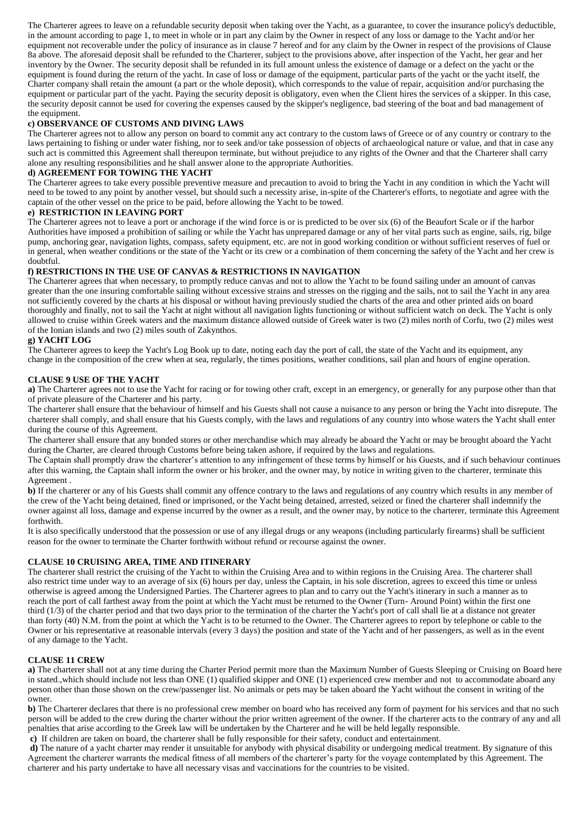The Charterer agrees to leave on a refundable security deposit when taking over the Yacht, as a guarantee, to cover the insurance policy's deductible, in the amount according to page 1, to meet in whole or in part any claim by the Owner in respect of any loss or damage to the Yacht and/or her equipment not recoverable under the policy of insurance as in clause 7 hereof and for any claim by the Owner in respect of the provisions of Clause 8a above. The aforesaid deposit shall be refunded to the Charterer, subject to the provisions above, after inspection of the Yacht, her gear and her inventory by the Owner. The security deposit shall be refunded in its full amount unless the existence of damage or a defect on the yacht or the equipment is found during the return of the yacht. In case of loss or damage of the equipment, particular parts of the yacht or the yacht itself, the Charter company shall retain the amount (a part or the whole deposit), which corresponds to the value of repair, acquisition and/or purchasing the equipment or particular part of the yacht. Paying the security deposit is obligatory, even when the Client hires the services of a skipper. In this case, the security deposit cannot be used for covering the expenses caused by the skipper's negligence, bad steering of the boat and bad management of the equipment.

# **c) OBSERVANCE OF CUSTOMS AND DIVING LAWS**

The Charterer agrees not to allow any person on board to commit any act contrary to the custom laws of Greece or of any country or contrary to the laws pertaining to fishing or under water fishing, nor to seek and/or take possession of objects of archaeological nature or value, and that in case any such act is committed this Agreement shall thereupon terminate, but without prejudice to any rights of the Owner and that the Charterer shall carry alone any resulting responsibilities and he shall answer alone to the appropriate Authorities.

### **d) AGREEMENT FOR TOWING THE YACHT**

The Charterer agrees to take every possible preventive measure and precaution to avoid to bring the Yacht in any condition in which the Yacht will need to be towed to any point by another vessel, but should such a necessity arise, in-spite of the Charterer's efforts, to negotiate and agree with the captain of the other vessel on the price to be paid, before allowing the Yacht to be towed.

### **e) RESTRICTION IN LEAVING PORT**

The Charterer agrees not to leave a port or anchorage if the wind force is or is predicted to be over six (6) of the Beaufort Scale or if the harbor Authorities have imposed a prohibition of sailing or while the Yacht has unprepared damage or any of her vital parts such as engine, sails, rig, bilge pump, anchoring gear, navigation lights, compass, safety equipment, etc. are not in good working condition or without sufficient reserves of fuel or in general, when weather conditions or the state of the Yacht or its crew or a combination of them concerning the safety of the Yacht and her crew is doubtful.

# **f) RESTRICTIONS IN THE USE OF CANVAS & RESTRICTIONS IN NAVIGATION**

The Charterer agrees that when necessary, to promptly reduce canvas and not to allow the Yacht to be found sailing under an amount of canvas greater than the one insuring comfortable sailing without excessive strains and stresses on the rigging and the sails, not to sail the Yacht in any area not sufficiently covered by the charts at his disposal or without having previously studied the charts of the area and other printed aids on board thoroughly and finally, not to sail the Yacht at night without all navigation lights functioning or without sufficient watch on deck. The Yacht is only allowed to cruise within Greek waters and the maximum distance allowed outside of Greek water is two (2) miles north of Corfu, two (2) miles west of the Ionian islands and two (2) miles south of Zakynthos.

# **g) YACHT LOG**

The Charterer agrees to keep the Yacht's Log Book up to date, noting each day the port of call, the state of the Yacht and its equipment, any change in the composition of the crew when at sea, regularly, the times positions, weather conditions, sail plan and hours of engine operation.

# **CLAUSE 9 USE OF THE YACHT**

**a)** The Charterer agrees not to use the Yacht for racing or for towing other craft, except in an emergency, or generally for any purpose other than that of private pleasure of the Charterer and his party.

The charterer shall ensure that the behaviour of himself and his Guests shall not cause a nuisance to any person or bring the Yacht into disrepute. The charterer shall comply, and shall ensure that his Guests comply, with the laws and regulations of any country into whose waters the Yacht shall enter during the course of this Agreement.

The charterer shall ensure that any bonded stores or other merchandise which may already be aboard the Yacht or may be brought aboard the Yacht during the Charter, are cleared through Customs before being taken ashore, if required by the laws and regulations.

The Captain shall promptly draw the charterer's attention to any infringement of these terms by himself or his Guests, and if such behaviour continues after this warning, the Captain shall inform the owner or his broker, and the owner may, by notice in writing given to the charterer, terminate this Agreement .

**b**) If the charterer or any of his Guests shall commit any offence contrary to the laws and regulations of any country which results in any member of the crew of the Yacht being detained, fined or imprisoned, or the Yacht being detained, arrested, seized or fined the charterer shall indemnify the owner against all loss, damage and expense incurred by the owner as a result, and the owner may, by notice to the charterer, terminate this Agreement forthwith.

It is also specifically understood that the possession or use of any illegal drugs or any weapons (including particularly firearms) shall be sufficient reason for the owner to terminate the Charter forthwith without refund or recourse against the owner.

# **CLAUSE 10 CRUISING AREA, TIME AND ITINERARY**

The charterer shall restrict the cruising of the Yacht to within the Cruising Area and to within regions in the Cruising Area. The charterer shall also restrict time under way to an average of six (6) hours per day, unless the Captain, in his sole discretion, agrees to exceed this time or unless otherwise is agreed among the Undersigned Parties. The Charterer agrees to plan and to carry out the Yacht's itinerary in such a manner as to reach the port of call farthest away from the point at which the Yacht must be returned to the Owner (Turn- Around Point) within the first one third  $(1/3)$  of the charter period and that two days prior to the termination of the charter the Yacht's port of call shall lie at a distance not greater than forty (40) N.M. from the point at which the Yacht is to be returned to the Owner. The Charterer agrees to report by telephone or cable to the Owner or his representative at reasonable intervals (every 3 days) the position and state of the Yacht and of her passengers, as well as in the event of any damage to the Yacht.

# **CLAUSE 11 CREW**

**a)** The charterer shall not at any time during the Charter Period permit more than the Maximum Number of Guests Sleeping or Cruising on Board here in stated.,which should include not less than ONE (1) qualified skipper and ONE (1) experienced crew member and not to accommodate aboard any person other than those shown on the crew/passenger list. No animals or pets may be taken aboard the Yacht without the consent in writing of the owner.

**b**) The Charterer declares that there is no professional crew member on board who has received any form of payment for his services and that no such person will be added to the crew during the charter without the prior written agreement of the owner. If the charterer acts to the contrary of any and all penalties that arise according to the Greek law will be undertaken by the Charterer and he will be held legally responsible. **c)** If children are taken on board, the charterer shall be fully responsible for their safety, conduct and entertainment.

**d)** The nature of a yacht charter may render it unsuitable for anybody with physical disability or undergoing medical treatment. By signature of this Agreement the charterer warrants the medical fitness of all members of the charterer's party for the voyage contemplated by this Agreement. The charterer and his party undertake to have all necessary visas and vaccinations for the countries to be visited.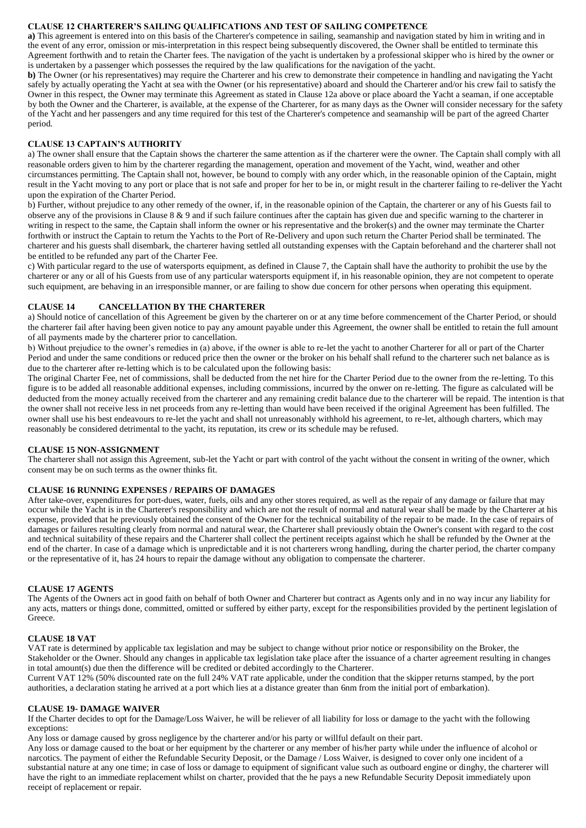### **CLAUSE 12 CHARTERER'S SAILING QUALIFICATIONS AND TEST OF SAILING COMPETENCE**

**a)** This agreement is entered into on this basis of the Charterer's competence in sailing, seamanship and navigation stated by him in writing and in the event of any error, omission or mis-interpretation in this respect being subsequently discovered, the Owner shall be entitled to terminate this Agreement forthwith and to retain the Charter fees. The navigation of the yacht is undertaken by a professional skipper who is hired by the owner or is undertaken by a passenger which possesses the required by the law qualifications for the navigation of the yacht.

**b)** The Owner (or his representatives) may require the Charterer and his crew to demonstrate their competence in handling and navigating the Yacht safely by actually operating the Yacht at sea with the Owner (or his representative) aboard and should the Charterer and/or his crew fail to satisfy the Owner in this respect, the Owner may terminate this Agreement as stated in Clause 12a above or place aboard the Yacht a seaman, if one acceptable by both the Owner and the Charterer, is available, at the expense of the Charterer, for as many days as the Owner will consider necessary for the safety of the Yacht and her passengers and any time required for this test of the Charterer's competence and seamanship will be part of the agreed Charter period.

# **CLAUSE 13 CAPTAIN'S AUTHORITY**

a) The owner shall ensure that the Captain shows the charterer the same attention as if the charterer were the owner. The Captain shall comply with all reasonable orders given to him by the charterer regarding the management, operation and movement of the Yacht, wind, weather and other circumstances permitting. The Captain shall not, however, be bound to comply with any order which, in the reasonable opinion of the Captain, might result in the Yacht moving to any port or place that is not safe and proper for her to be in, or might result in the charterer failing to re-deliver the Yacht upon the expiration of the Charter Period.

b) Further, without prejudice to any other remedy of the owner, if, in the reasonable opinion of the Captain, the charterer or any of his Guests fail to observe any of the provisions in Clause  $8 \& 9$  and if such failure continues after the captain has given due and specific warning to the charterer in writing in respect to the same, the Captain shall inform the owner or his representative and the broker(s) and the owner may terminate the Charter forthwith or instruct the Captain to return the Yachts to the Port of Re-Delivery and upon such return the Charter Period shall be terminated. The charterer and his guests shall disembark, the charterer having settled all outstanding expenses with the Captain beforehand and the charterer shall not be entitled to be refunded any part of the Charter Fee.

c) With particular regard to the use of watersports equipment, as defined in Clause 7, the Captain shall have the authority to prohibit the use by the charterer or any or all of his Guests from use of any particular watersports equipment if, in his reasonable opinion, they are not competent to operate such equipment, are behaving in an irresponsible manner, or are failing to show due concern for other persons when operating this equipment.

# **CLAUSE 14 CANCELLATION BY THE CHARTERER**

a) Should notice of cancellation of this Agreement be given by the charterer on or at any time before commencement of the Charter Period, or should the charterer fail after having been given notice to pay any amount payable under this Agreement, the owner shall be entitled to retain the full amount of all payments made by the charterer prior to cancellation.

b) Without prejudice to the owner's remedies in (a) above, if the owner is able to re-let the yacht to another Charterer for all or part of the Charter Period and under the same conditions or reduced price then the owner or the broker on his behalf shall refund to the charterer such net balance as is due to the charterer after re-letting which is to be calculated upon the following basis:

The original Charter Fee, net of commissions, shall be deducted from the net hire for the Charter Period due to the owner from the re-letting. To this figure is to be added all reasonable additional expenses, including commissions, incurred by the onwer on re-letting. The figure as calculated will be deducted from the money actually received from the charterer and any remaining credit balance due to the charterer will be repaid. The intention is that the owner shall not receive less in net proceeds from any re-letting than would have been received if the original Agreement has been fulfilled. The owner shall use his best endeavours to re-let the yacht and shall not unreasonably withhold his agreement, to re-let, although charters, which may reasonably be considered detrimental to the yacht, its reputation, its crew or its schedule may be refused.

### **CLAUSE 15 NON-ASSIGNMENT**

The charterer shall not assign this Agreement, sub-let the Yacht or part with control of the yacht without the consent in writing of the owner, which consent may be on such terms as the owner thinks fit.

# **CLAUSE 16 RUNNING EXPENSES / REPAIRS OF DAMAGES**

After take-over, expenditures for port-dues, water, fuels, oils and any other stores required, as well as the repair of any damage or failure that may occur while the Yacht is in the Charterer's responsibility and which are not the result of normal and natural wear shall be made by the Charterer at his expense, provided that he previously obtained the consent of the Owner for the technical suitability of the repair to be made. In the case of repairs of damages or failures resulting clearly from normal and natural wear, the Charterer shall previously obtain the Owner's consent with regard to the cost and technical suitability of these repairs and the Charterer shall collect the pertinent receipts against which he shall be refunded by the Owner at the end of the charter. In case of a damage which is unpredictable and it is not charterers wrong handling, during the charter period, the charter company or the representative of it, has 24 hours to repair the damage without any obligation to compensate the charterer.

### **CLAUSE 17 AGENTS**

The Agents of the Owners act in good faith on behalf of both Owner and Charterer but contract as Agents only and in no way incur any liability for any acts, matters or things done, committed, omitted or suffered by either party, except for the responsibilities provided by the pertinent legislation of Greece.

### **CLAUSE 18 VAT**

VAT rate is determined by applicable tax legislation and may be subject to change without prior notice or responsibility on the Broker, the Stakeholder or the Owner. Should any changes in applicable tax legislation take place after the issuance of a charter agreement resulting in changes in total amount(s) due then the difference will be credited or debited accordingly to the Charterer.

Current VAT 12% (50% discounted rate on the full 24% VAT rate applicable, under the condition that the skipper returns stamped, by the port authorities, a declaration stating he arrived at a port which lies at a distance greater than 6nm from the initial port of embarkation).

### **CLAUSE 19- DAMAGE WAIVER**

If the Charter decides to opt for the Damage/Loss Waiver, he will be reliever of all liability for loss or damage to the yacht with the following exceptions:

Any loss or damage caused by gross negligence by the charterer and/or his party or willful default on their part.

Any loss or damage caused to the boat or her equipment by the charterer or any member of his/her party while under the influence of alcohol or narcotics. The payment of either the Refundable Security Deposit, or the Damage / Loss Waiver, is designed to cover only one incident of a substantial nature at any one time; in case of loss or damage to equipment of significant value such as outboard engine or dinghy, the charterer will have the right to an immediate replacement whilst on charter, provided that the he pays a new Refundable Security Deposit immediately upon receipt of replacement or repair.